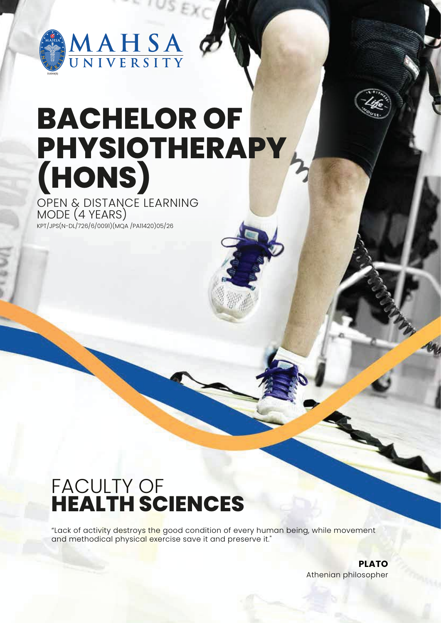

# **BACHELOR OF PHYSIOTHERAPY (HONS)**

KPT/JPS(N-DL/726/6/0091)(MQA /PA11420)05/26 OPEN & DISTANCE LEARNING MODE (4 YEARS)

## FACULTY OF **HEALTH SCIENCES**

"Lack of activity destroys the good condition of every human being, while movement and methodical physical exercise save it and preserve it."

> **PLATO** Athenian philosopher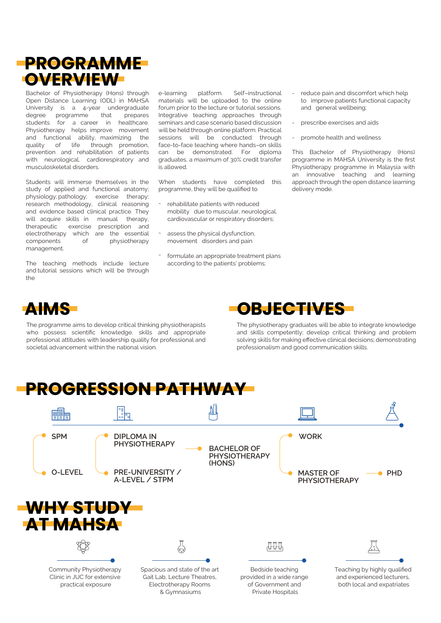### **PROGRAMME OVERVIEW**

Bachelor of Physiotherapy (Hons) through Open Distance Learning (ODL) in MAHSA University is a 4-year undergraduate degree programme that prepares students for a career in healthcare. Physiotherapy helps improve movement and functional ability, maximizing the quality of life through promotion, prevention and rehabilitation of patients with neurological, cardiorespiratory and musculoskeletal disorders.

Students will immerse themselves in the study of applied and functional anatomy; physiology; pathology; exercise therapy; research methodology, clinical reasoning and evidence based clinical practice. They will acquire skills in manual therapy, therapeutic exercise prescription and electrotherapy which are the essential components of physiotherapy management.

The teaching methods include lecture and tutorial sessions which will be through the

e-learning platform. Self–instructional materials will be uploaded to the online forum prior to the lecture or tutorial sessions. Integrative teaching approaches through seminars and case scenario based discussion will be held through online platform. Practical sessions will be conducted through face-to-face teaching where hands–on skills can be demonstrated. For diploma graduates, a maximum of 30% credit transfer is allowed.

When students have completed this programme, they will be qualified to

- rehabilitate patients with reduced mobility due to muscular, neurological, cardiovascular or respiratory disorders; -
- assess the physical dysfunction, movement disorders and pain -
- formulate an appropriate treatment plans according to the patients' problems; -
- reduce pain and discomfort which help to improve patients functional capacity and general wellbeing; -
- prescribe exercises and aids -
- promote health and wellness -

This Bachelor of Physiotherapy (Hons) programme in MAHSA University is the first Physiotherapy programme in Malaysia with an innovative teaching and learning approach through the open distance learning delivery mode.



The programme aims to develop critical thinking physiotherapists who possess scientific knowledge, skills and appropriate professional attitudes with leadership quality for professional and societal advancement within the national vision.



The physiotherapy graduates will be able to integrate knowledge and skills competently; develop critical thinking and problem solving skills for making effective clinical decisions; demonstrating professionalism and good communication skills.

### **PROGRESSION PATHWAY**

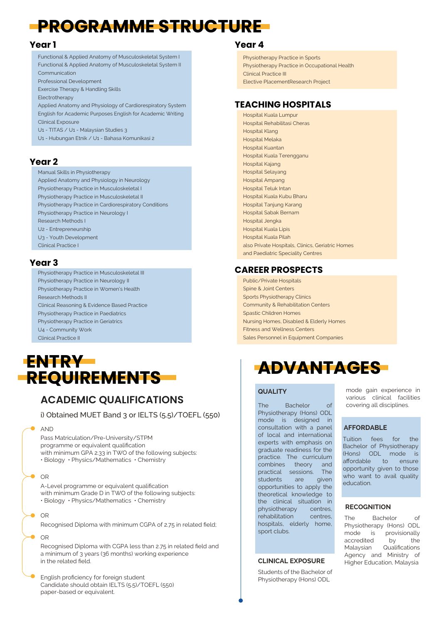### **PROGRAMME STRUCTURE**

#### **Year 1**

Functional & Applied Anatomy of Musculoskeletal System I Functional & Applied Anatomy of Musculoskeletal System II Communication

Professional Development

Exercise Therapy & Handling Skills Electrotherapy

Applied Anatomy and Physiology of Cardiorespiratory System English for Academic Purposes English for Academic Writing Clinical Exposure

- U1 TITAS / U1 Malaysian Studies 3
- U1 Hubungan Etnik / U1 Bahasa Komunikasi 2

#### **Year 2**

Manual Skills in Physiotherapy

Applied Anatomy and Physiology in Neurology Physiotherapy Practice in Musculoskeletal I Physiotherapy Practice in Musculoskeletal II Physiotherapy Practice in Cardiorespiratory Conditions Physiotherapy Practice in Neurology I Research Methods I U2 - Entrepreneurship U3 - Youth Development Clinical Practice I

#### **Year 3**

Physiotherapy Practice in Neurology II Physiotherapy Practice in Women's Health Research Methods II Clinical Reasoning & Evidence Based Practice Physiotherapy Practice in Paediatrics Physiotherapy Practice in Geriatrics U4 - Community Work Clinical Practice II



### **ACADEMIC QUALIFICATIONS**

i) Obtained MUET Band 3 or IELTS (5.5)/TOEFL (550)

#### AND

Pass Matriculation/Pre-University/STPM programme or equivalent qualification with minimum GPA 2.33 in TWO of the following subjects: • Biology • Physics/Mathematics • Chemistry

#### OR

A-Level programme or equivalent qualification with minimum Grade D in TWO of the following subjects: • Biology • Physics/Mathematics • Chemistry

OR

Recognised Diploma with minimum CGPA of 2.75 in related field;

#### OR

Recognised Diploma with CGPA less than 2.75 in related field and a minimum of 3 years (36 months) working experience in the related field.

English proficiency for foreign student Candidate should obtain IELTS (5.5)/TOEFL (550) paper-based or equivalent.

#### **Year 4**

Physiotherapy Practice in Sports Physiotherapy Practice in Occupational Health Clinical Practice III Elective PlacementResearch Project

#### **TEACHING HOSPITALS**

Hospital Kuala Lumpur Hospital Rehabilitasi Cheras Hospital Klang Hospital Melaka Hospital Kuantan Hospital Kuala Terengganu Hospital Kajang Hospital Selayang Hospital Ampang Hospital Teluk Intan Hospital Kuala Kubu Bharu Hospital Tanjung Karang Hospital Sabak Bernam Hospital Jengka Hospital Kuala Lipis Hospital Kuala Pilah also Private Hospitals, Clinics, Geriatric Homes and Paediatric Speciality Centres

#### Physiotherapy Practice in Musculoskeletal III **CAREER PROSPECTS**

Public/Private Hospitals Spine & Joint Centers Sports Physiotherapy Clinics Community & Rehabilitation Centers Spastic Children Homes Nursing Homes, Disabled & Elderly Homes Fitness and Wellness Centers Sales Personnel in Equipment Companies

#### **QUALITY**

The Bachelor of Physiotherapy (Hons) ODL mode is designed in consultation with a panel of local and international experts with emphasis on graduate readiness for the practice. The curriculum combines theory and practical sessions. The students are given opportunities to apply the theoretical knowledge to the clinical situation in physiotherapy centres, rehabilitation centres, hospitals, elderly home, sport clubs.

#### **CLINICAL EXPOSURE**

Students of the Bachelor of Physiotherapy (Hons) ODL

mode gain experience in various clinical facilities covering all disciplines.

#### **AFFORDABLE**

Tuition fees for the Bachelor of Physiotherapy (Hons) ODL mode is affordable to ensure opportunity given to those who want to avail quality education.

#### **RECOGNITION**

The Bachelor of Physiotherapy (Hons) ODL mode is provisionally accredited by the Malaysian Qualifications Agency and Ministry of Higher Education, Malaysia